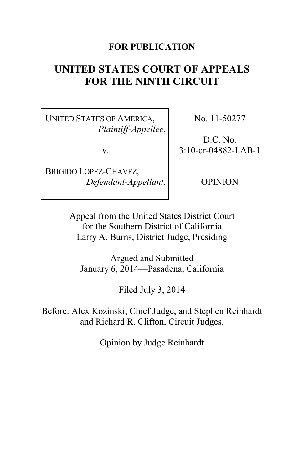# **FOR PUBLICATION**

# **UNITED STATES COURT OF APPEALS FOR THE NINTH CIRCUIT**

UNITED STATES OF AMERICA, *Plaintiff-Appellee*,

v.

BRIGIDO LOPEZ-CHAVEZ, *Defendant-Appellant*. No. 11-50277

D.C. No. 3:10-cr-04882-LAB-1

OPINION

Appeal from the United States District Court for the Southern District of California Larry A. Burns, District Judge, Presiding

Argued and Submitted January 6, 2014—Pasadena, California

Filed July 3, 2014

Before: Alex Kozinski, Chief Judge, and Stephen Reinhardt and Richard R. Clifton, Circuit Judges.

Opinion by Judge Reinhardt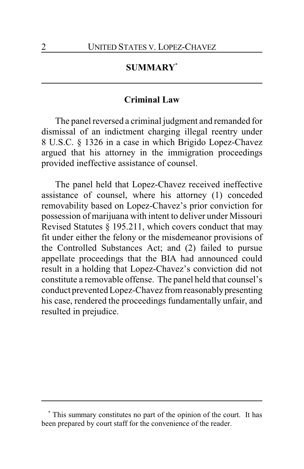# **SUMMARY\***

# **Criminal Law**

The panel reversed a criminal judgment and remanded for dismissal of an indictment charging illegal reentry under 8 U.S.C. § 1326 in a case in which Brigido Lopez-Chavez argued that his attorney in the immigration proceedings provided ineffective assistance of counsel.

The panel held that Lopez-Chavez received ineffective assistance of counsel, where his attorney (1) conceded removability based on Lopez-Chavez's prior conviction for possession of marijuana with intent to deliver under Missouri Revised Statutes § 195.211, which covers conduct that may fit under either the felony or the misdemeanor provisions of the Controlled Substances Act; and (2) failed to pursue appellate proceedings that the BIA had announced could result in a holding that Lopez-Chavez's conviction did not constitute a removable offense. The panel held that counsel's conduct prevented Lopez-Chavez from reasonablypresenting his case, rendered the proceedings fundamentally unfair, and resulted in prejudice.

**<sup>\*</sup>** This summary constitutes no part of the opinion of the court. It has been prepared by court staff for the convenience of the reader.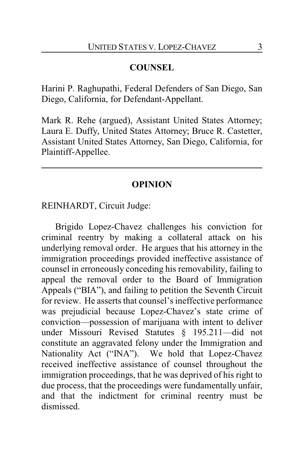# **COUNSEL**

Harini P. Raghupathi, Federal Defenders of San Diego, San Diego, California, for Defendant-Appellant.

Mark R. Rehe (argued), Assistant United States Attorney; Laura E. Duffy, United States Attorney; Bruce R. Castetter, Assistant United States Attorney, San Diego, California, for Plaintiff-Appellee.

# **OPINION**

# REINHARDT, Circuit Judge:

Brigido Lopez-Chavez challenges his conviction for criminal reentry by making a collateral attack on his underlying removal order. He argues that his attorney in the immigration proceedings provided ineffective assistance of counsel in erroneously conceding his removability, failing to appeal the removal order to the Board of Immigration Appeals ("BIA"), and failing to petition the Seventh Circuit for review. He asserts that counsel's ineffective performance was prejudicial because Lopez-Chavez's state crime of conviction—possession of marijuana with intent to deliver under Missouri Revised Statutes § 195.211—did not constitute an aggravated felony under the Immigration and Nationality Act ("INA"). We hold that Lopez-Chavez received ineffective assistance of counsel throughout the immigration proceedings, that he was deprived of his right to due process, that the proceedings were fundamentally unfair, and that the indictment for criminal reentry must be dismissed.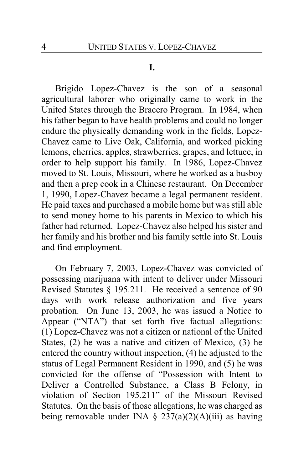## **I.**

Brigido Lopez-Chavez is the son of a seasonal agricultural laborer who originally came to work in the United States through the Bracero Program. In 1984, when his father began to have health problems and could no longer endure the physically demanding work in the fields, Lopez-Chavez came to Live Oak, California, and worked picking lemons, cherries, apples, strawberries, grapes, and lettuce, in order to help support his family. In 1986, Lopez-Chavez moved to St. Louis, Missouri, where he worked as a busboy and then a prep cook in a Chinese restaurant. On December 1, 1990, Lopez-Chavez became a legal permanent resident. He paid taxes and purchased a mobile home but was still able to send money home to his parents in Mexico to which his father had returned. Lopez-Chavez also helped his sister and her family and his brother and his family settle into St. Louis and find employment.

On February 7, 2003, Lopez-Chavez was convicted of possessing marijuana with intent to deliver under Missouri Revised Statutes § 195.211. He received a sentence of 90 days with work release authorization and five years probation. On June 13, 2003, he was issued a Notice to Appear ("NTA") that set forth five factual allegations: (1) Lopez-Chavez was not a citizen or national of the United States, (2) he was a native and citizen of Mexico, (3) he entered the country without inspection, (4) he adjusted to the status of Legal Permanent Resident in 1990, and (5) he was convicted for the offense of "Possession with Intent to Deliver a Controlled Substance, a Class B Felony, in violation of Section 195.211" of the Missouri Revised Statutes. On the basis of those allegations, he was charged as being removable under INA  $\S$  237(a)(2)(A)(iii) as having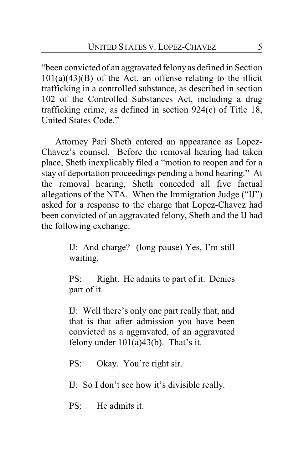"been convicted of an aggravated felony as defined in Section  $101(a)(43)(B)$  of the Act, an offense relating to the illicit trafficking in a controlled substance, as described in section 102 of the Controlled Substances Act, including a drug trafficking crime, as defined in section 924(c) of Title 18, United States Code."

Attorney Pari Sheth entered an appearance as Lopez-Chavez's counsel. Before the removal hearing had taken place, Sheth inexplicably filed a "motion to reopen and for a stay of deportation proceedings pending a bond hearing." At the removal hearing, Sheth conceded all five factual allegations of the NTA. When the Immigration Judge ("IJ") asked for a response to the charge that Lopez-Chavez had been convicted of an aggravated felony, Sheth and the IJ had the following exchange:

> IJ: And charge? (long pause) Yes, I'm still waiting.

> PS: Right. He admits to part of it. Denies part of it.

> IJ: Well there's only one part really that, and that is that after admission you have been convicted as a aggravated, of an aggravated felony under  $101(a)43(b)$ . That's it.

PS: Okay. You're right sir.

IJ: So I don't see how it's divisible really.

 $PS:$  He admits it.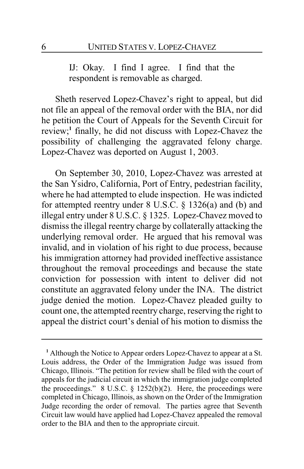IJ: Okay. I find I agree. I find that the respondent is removable as charged.

Sheth reserved Lopez-Chavez's right to appeal, but did not file an appeal of the removal order with the BIA, nor did he petition the Court of Appeals for the Seventh Circuit for review;**<sup>1</sup>** finally, he did not discuss with Lopez-Chavez the possibility of challenging the aggravated felony charge. Lopez-Chavez was deported on August 1, 2003.

On September 30, 2010, Lopez-Chavez was arrested at the San Ysidro, California, Port of Entry, pedestrian facility, where he had attempted to elude inspection. He was indicted for attempted reentry under 8 U.S.C. § 1326(a) and (b) and illegal entry under 8 U.S.C. § 1325. Lopez-Chavez moved to dismiss the illegal reentry charge by collaterally attacking the underlying removal order. He argued that his removal was invalid, and in violation of his right to due process, because his immigration attorney had provided ineffective assistance throughout the removal proceedings and because the state conviction for possession with intent to deliver did not constitute an aggravated felony under the INA. The district judge denied the motion. Lopez-Chavez pleaded guilty to count one, the attempted reentry charge, reserving the right to appeal the district court's denial of his motion to dismiss the

**<sup>1</sup>** Although the Notice to Appear orders Lopez-Chavez to appear at a St. Louis address, the Order of the Immigration Judge was issued from Chicago, Illinois. "The petition for review shall be filed with the court of appeals for the judicial circuit in which the immigration judge completed the proceedings."  $8 \text{ U.S.C. } §$  1252(b)(2). Here, the proceedings were completed in Chicago, Illinois, as shown on the Order of the Immigration Judge recording the order of removal. The parties agree that Seventh Circuit law would have applied had Lopez-Chavez appealed the removal order to the BIA and then to the appropriate circuit.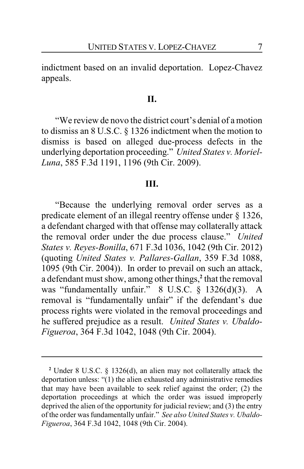indictment based on an invalid deportation. Lopez-Chavez appeals.

#### **II.**

"We review de novo the district court's denial of a motion to dismiss an 8 U.S.C. § 1326 indictment when the motion to dismiss is based on alleged due-process defects in the underlying deportation proceeding." *United States v. Moriel-Luna*, 585 F.3d 1191, 1196 (9th Cir. 2009).

#### **III.**

"Because the underlying removal order serves as a predicate element of an illegal reentry offense under § 1326, a defendant charged with that offense may collaterally attack the removal order under the due process clause." *United States v. Reyes-Bonilla*, 671 F.3d 1036, 1042 (9th Cir. 2012) (quoting *United States v. Pallares-Gallan*, 359 F.3d 1088, 1095 (9th Cir. 2004)). In order to prevail on such an attack, a defendant must show, among other things,**<sup>2</sup>** that the removal was "fundamentally unfair." 8 U.S.C. § 1326(d)(3). A removal is "fundamentally unfair" if the defendant's due process rights were violated in the removal proceedings and he suffered prejudice as a result. *United States v. Ubaldo-Figueroa*, 364 F.3d 1042, 1048 (9th Cir. 2004).

**<sup>2</sup>** Under 8 U.S.C. § 1326(d), an alien may not collaterally attack the deportation unless: "(1) the alien exhausted any administrative remedies that may have been available to seek relief against the order; (2) the deportation proceedings at which the order was issued improperly deprived the alien of the opportunity for judicial review; and (3) the entry of the order was fundamentally unfair." *See also United States v. Ubaldo-Figueroa*, 364 F.3d 1042, 1048 (9th Cir. 2004).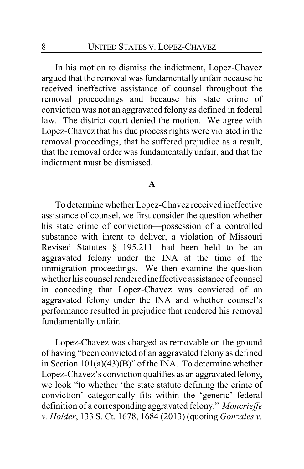In his motion to dismiss the indictment, Lopez-Chavez argued that the removal was fundamentally unfair because he received ineffective assistance of counsel throughout the removal proceedings and because his state crime of conviction was not an aggravated felony as defined in federal law. The district court denied the motion. We agree with Lopez-Chavez that his due process rights were violated in the removal proceedings, that he suffered prejudice as a result, that the removal order was fundamentally unfair, and that the indictment must be dismissed.

### **A**

To determine whether Lopez-Chavez received ineffective assistance of counsel, we first consider the question whether his state crime of conviction—possession of a controlled substance with intent to deliver, a violation of Missouri Revised Statutes § 195.211—had been held to be an aggravated felony under the INA at the time of the immigration proceedings. We then examine the question whether his counsel rendered ineffective assistance of counsel in conceding that Lopez-Chavez was convicted of an aggravated felony under the INA and whether counsel's performance resulted in prejudice that rendered his removal fundamentally unfair.

Lopez-Chavez was charged as removable on the ground of having "been convicted of an aggravated felony as defined in Section  $101(a)(43)(B)$ " of the INA. To determine whether Lopez-Chavez's conviction qualifies as an aggravated felony, we look "to whether 'the state statute defining the crime of conviction' categorically fits within the 'generic' federal definition of a corresponding aggravated felony." *Moncrieffe v. Holder*, 133 S. Ct. 1678, 1684 (2013) (quoting *Gonzales v.*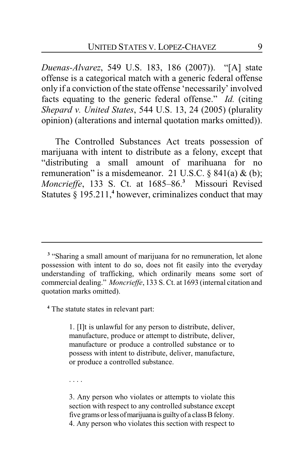*Duenas-Alvarez*, 549 U.S. 183, 186 (2007)). "[A] state offense is a categorical match with a generic federal offense only if a conviction of the state offense 'necessarily' involved facts equating to the generic federal offense." *Id.* (citing *Shepard v. United States*, 544 U.S. 13, 24 (2005) (plurality opinion) (alterations and internal quotation marks omitted)).

The Controlled Substances Act treats possession of marijuana with intent to distribute as a felony, except that "distributing a small amount of marihuana for no remuneration" is a misdemeanor. 21 U.S.C.  $\S$  841(a) & (b); *Moncrieffe*, 133 S. Ct. at 1685–86.**<sup>3</sup>** Missouri Revised Statutes § 195.211,**<sup>4</sup>** however, criminalizes conduct that may

**4** The statute states in relevant part:

1. [I]t is unlawful for any person to distribute, deliver, manufacture, produce or attempt to distribute, deliver, manufacture or produce a controlled substance or to possess with intent to distribute, deliver, manufacture, or produce a controlled substance.

. . . .

3. Any person who violates or attempts to violate this section with respect to any controlled substance except five grams or less of marijuana is guilty of a class B felony. 4. Any person who violates this section with respect to

<sup>&</sup>lt;sup>3</sup> "Sharing a small amount of marijuana for no remuneration, let alone possession with intent to do so, does not fit easily into the everyday understanding of trafficking, which ordinarily means some sort of commercial dealing." *Moncrieffe*, 133 S. Ct. at 1693 (internal citation and quotation marks omitted).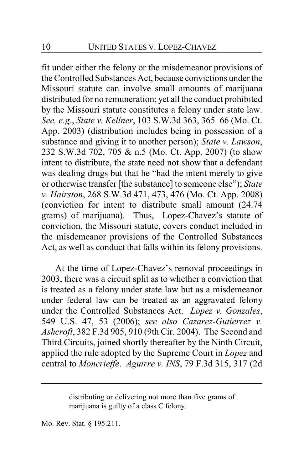fit under either the felony or the misdemeanor provisions of the Controlled Substances Act, because convictions under the Missouri statute can involve small amounts of marijuana distributed for no remuneration; yet all the conduct prohibited by the Missouri statute constitutes a felony under state law. *See, e.g.*, *State v. Kellner*, 103 S.W.3d 363, 365–66 (Mo. Ct. App. 2003) (distribution includes being in possession of a substance and giving it to another person); *State v. Lawson*, 232 S.W.3d 702, 705 & n.5 (Mo. Ct. App. 2007) (to show intent to distribute, the state need not show that a defendant was dealing drugs but that he "had the intent merely to give or otherwise transfer [the substance] to someone else"); *State v. Hairston*, 268 S.W.3d 471, 473, 476 (Mo. Ct. App. 2008) (conviction for intent to distribute small amount (24.74 grams) of marijuana). Thus, Lopez-Chavez's statute of conviction, the Missouri statute, covers conduct included in the misdemeanor provisions of the Controlled Substances Act, as well as conduct that falls within its felony provisions.

At the time of Lopez-Chavez's removal proceedings in 2003, there was a circuit split as to whether a conviction that is treated as a felony under state law but as a misdemeanor under federal law can be treated as an aggravated felony under the Controlled Substances Act. *Lopez v. Gonzales*, 549 U.S. 47, 53 (2006); *see also Cazarez-Gutierrez v. Ashcroft*, 382 F.3d 905, 910 (9th Cir. 2004). The Second and Third Circuits, joined shortly thereafter by the Ninth Circuit, applied the rule adopted by the Supreme Court in *Lopez* and central to *Moncrieffe*. *Aguirre v. INS*, 79 F.3d 315, 317 (2d

Mo. Rev. Stat. § 195.211.

distributing or delivering not more than five grams of marijuana is guilty of a class C felony.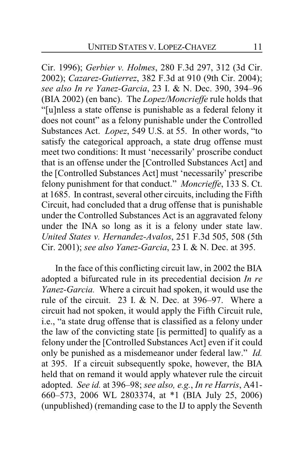Cir. 1996); *Gerbier v. Holmes*, 280 F.3d 297, 312 (3d Cir. 2002); *Cazarez-Gutierrez*, 382 F.3d at 910 (9th Cir. 2004); *see also In re Yanez-Garcia*, 23 I. & N. Dec. 390, 394–96 (BIA 2002) (en banc). The *Lopez/Moncrieffe* rule holds that "[u]nless a state offense is punishable as a federal felony it does not count" as a felony punishable under the Controlled Substances Act. *Lopez*, 549 U.S. at 55. In other words, "to satisfy the categorical approach, a state drug offense must meet two conditions: It must 'necessarily' proscribe conduct that is an offense under the [Controlled Substances Act] and the [Controlled Substances Act] must 'necessarily' prescribe felony punishment for that conduct." *Moncrieffe*, 133 S. Ct. at 1685. In contrast, several other circuits, including the Fifth Circuit, had concluded that a drug offense that is punishable under the Controlled Substances Act is an aggravated felony under the INA so long as it is a felony under state law. *United States v. Hernandez-Avalos*, 251 F.3d 505, 508 (5th Cir. 2001); *see also Yanez-Garcia*, 23 I. & N. Dec. at 395.

In the face of this conflicting circuit law, in 2002 the BIA adopted a bifurcated rule in its precedential decision *In re Yanez-Garcia.* Where a circuit had spoken, it would use the rule of the circuit. 23 I.  $\&$  N. Dec. at 396–97. Where a circuit had not spoken, it would apply the Fifth Circuit rule, i.e., "a state drug offense that is classified as a felony under the law of the convicting state [is permitted] to qualify as a felony under the [Controlled Substances Act] even if it could only be punished as a misdemeanor under federal law." *Id.* at 395. If a circuit subsequently spoke, however, the BIA held that on remand it would apply whatever rule the circuit adopted. *See id.* at 396–98; *see also, e.g.*, *In re Harris*, A41- 660–573, 2006 WL 2803374, at \*1 (BIA July 25, 2006) (unpublished) (remanding case to the IJ to apply the Seventh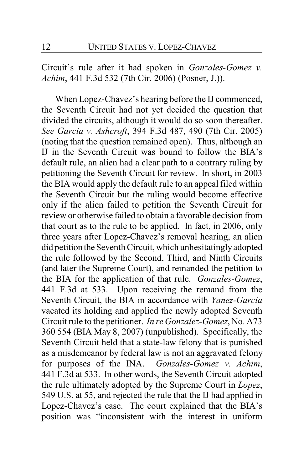Circuit's rule after it had spoken in *Gonzales-Gomez v. Achim*, 441 F.3d 532 (7th Cir. 2006) (Posner, J.)).

When Lopez-Chavez's hearing before the IJ commenced, the Seventh Circuit had not yet decided the question that divided the circuits, although it would do so soon thereafter. *See Garcia v. Ashcroft*, 394 F.3d 487, 490 (7th Cir. 2005) (noting that the question remained open). Thus, although an IJ in the Seventh Circuit was bound to follow the BIA's default rule, an alien had a clear path to a contrary ruling by petitioning the Seventh Circuit for review. In short, in 2003 the BIA would apply the default rule to an appeal filed within the Seventh Circuit but the ruling would become effective only if the alien failed to petition the Seventh Circuit for review or otherwise failed to obtain a favorable decision from that court as to the rule to be applied. In fact, in 2006, only three years after Lopez-Chavez's removal hearing, an alien did petition the Seventh Circuit, which unhesitatingly adopted the rule followed by the Second, Third, and Ninth Circuits (and later the Supreme Court), and remanded the petition to the BIA for the application of that rule. *Gonzales-Gomez*, 441 F.3d at 533. Upon receiving the remand from the Seventh Circuit, the BIA in accordance with *Yanez-Garcia* vacated its holding and applied the newly adopted Seventh Circuit rule to the petitioner. *In re Gonzalez-Gomez*, No. A73 360 554 (BIA May 8, 2007) (unpublished). Specifically, the Seventh Circuit held that a state-law felony that is punished as a misdemeanor by federal law is not an aggravated felony for purposes of the INA. *Gonzales-Gomez v. Achim*, 441 F.3d at 533. In other words, the Seventh Circuit adopted the rule ultimately adopted by the Supreme Court in *Lopez*, 549 U.S. at 55, and rejected the rule that the IJ had applied in Lopez-Chavez's case. The court explained that the BIA's position was "inconsistent with the interest in uniform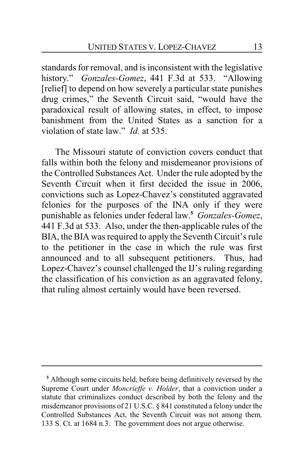standards for removal, and is inconsistent with the legislative history." *Gonzales-Gomez*, 441 F.3d at 533. "Allowing [relief] to depend on how severely a particular state punishes drug crimes," the Seventh Circuit said, "would have the paradoxical result of allowing states, in effect, to impose banishment from the United States as a sanction for a violation of state law." *Id.* at 535.

The Missouri statute of conviction covers conduct that falls within both the felony and misdemeanor provisions of the Controlled Substances Act. Under the rule adopted by the Seventh Circuit when it first decided the issue in 2006, convictions such as Lopez-Chavez's constituted aggravated felonies for the purposes of the INA only if they were punishable as felonies under federal law.**<sup>5</sup>** *Gonzales-Gomez*, 441 F.3d at 533. Also, under the then-applicable rules of the BIA, the BIA was required to apply the Seventh Circuit's rule to the petitioner in the case in which the rule was first announced and to all subsequent petitioners. Thus, had Lopez-Chavez's counsel challenged the IJ's ruling regarding the classification of his conviction as an aggravated felony, that ruling almost certainly would have been reversed.

**<sup>5</sup>** Although some circuits held, before being definitively reversed by the Supreme Court under *Moncrieffe v. Holder*, that a conviction under a statute that criminalizes conduct described by both the felony and the misdemeanor provisions of 21 U.S.C. § 841 constituted a felony under the Controlled Substances Act, the Seventh Circuit was not among them. 133 S. Ct. at 1684 n.3. The government does not argue otherwise.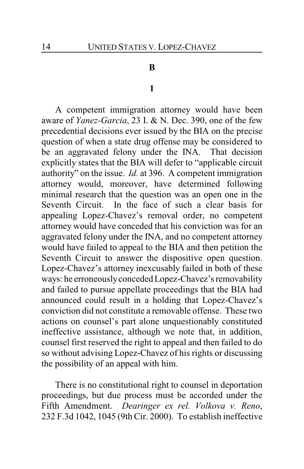#### **B**

#### **1**

A competent immigration attorney would have been aware of *Yanez-Garcia*, 23 I. & N. Dec. 390, one of the few precedential decisions ever issued by the BIA on the precise question of when a state drug offense may be considered to be an aggravated felony under the INA. That decision explicitly states that the BIA will defer to "applicable circuit authority" on the issue. *Id.* at 396. A competent immigration attorney would, moreover, have determined following minimal research that the question was an open one in the Seventh Circuit. In the face of such a clear basis for appealing Lopez-Chavez's removal order, no competent attorney would have conceded that his conviction was for an aggravated felony under the INA, and no competent attorney would have failed to appeal to the BIA and then petition the Seventh Circuit to answer the dispositive open question. Lopez-Chavez's attorney inexcusably failed in both of these ways: he erroneouslyconceded Lopez-Chavez's removability and failed to pursue appellate proceedings that the BIA had announced could result in a holding that Lopez-Chavez's conviction did not constitute a removable offense. These two actions on counsel's part alone unquestionably constituted ineffective assistance, although we note that, in addition, counsel first reserved the right to appeal and then failed to do so without advising Lopez-Chavez of his rights or discussing the possibility of an appeal with him.

There is no constitutional right to counsel in deportation proceedings, but due process must be accorded under the Fifth Amendment. *Dearinger ex rel. Volkova v. Reno*, 232 F.3d 1042, 1045 (9th Cir. 2000). To establish ineffective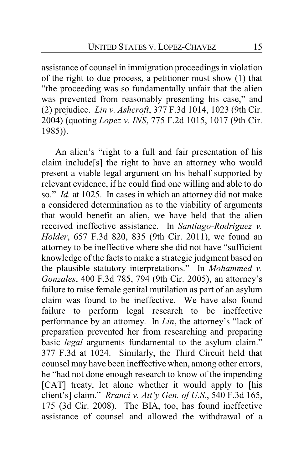assistance of counsel in immigration proceedings in violation of the right to due process, a petitioner must show (1) that "the proceeding was so fundamentally unfair that the alien was prevented from reasonably presenting his case," and (2) prejudice. *Lin v. Ashcroft*, 377 F.3d 1014, 1023 (9th Cir. 2004) (quoting *Lopez v. INS*, 775 F.2d 1015, 1017 (9th Cir. 1985)).

An alien's "right to a full and fair presentation of his claim include[s] the right to have an attorney who would present a viable legal argument on his behalf supported by relevant evidence, if he could find one willing and able to do so." *Id.* at 1025. In cases in which an attorney did not make a considered determination as to the viability of arguments that would benefit an alien, we have held that the alien received ineffective assistance. In *Santiago-Rodriguez v. Holder*, 657 F.3d 820, 835 (9th Cir. 2011), we found an attorney to be ineffective where she did not have "sufficient knowledge of the facts to make a strategic judgment based on the plausible statutory interpretations." In *Mohammed v. Gonzales*, 400 F.3d 785, 794 (9th Cir. 2005), an attorney's failure to raise female genital mutilation as part of an asylum claim was found to be ineffective. We have also found failure to perform legal research to be ineffective performance by an attorney. In *Lin*, the attorney's "lack of preparation prevented her from researching and preparing basic *legal* arguments fundamental to the asylum claim." 377 F.3d at 1024. Similarly, the Third Circuit held that counsel may have been ineffective when, among other errors, he "had not done enough research to know of the impending [CAT] treaty, let alone whether it would apply to [his client's] claim." *Rranci v. Att'y Gen. of U.S.*, 540 F.3d 165, 175 (3d Cir. 2008). The BIA, too, has found ineffective assistance of counsel and allowed the withdrawal of a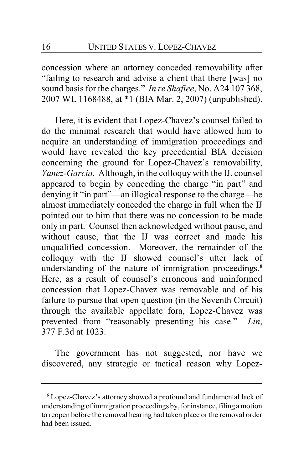concession where an attorney conceded removability after "failing to research and advise a client that there [was] no sound basis for the charges." *In re Shafiee*, No. A24 107 368, 2007 WL 1168488, at \*1 (BIA Mar. 2, 2007) (unpublished).

Here, it is evident that Lopez-Chavez's counsel failed to do the minimal research that would have allowed him to acquire an understanding of immigration proceedings and would have revealed the key precedential BIA decision concerning the ground for Lopez-Chavez's removability, *Yanez-Garcia*. Although, in the colloquy with the IJ, counsel appeared to begin by conceding the charge "in part" and denying it "in part"—an illogical response to the charge—he almost immediately conceded the charge in full when the IJ pointed out to him that there was no concession to be made only in part. Counsel then acknowledged without pause, and without cause, that the IJ was correct and made his unqualified concession. Moreover, the remainder of the colloquy with the IJ showed counsel's utter lack of understanding of the nature of immigration proceedings.**<sup>6</sup>** Here, as a result of counsel's erroneous and uninformed concession that Lopez-Chavez was removable and of his failure to pursue that open question (in the Seventh Circuit) through the available appellate fora, Lopez-Chavez was prevented from "reasonably presenting his case." *Lin*, 377 F.3d at 1023.

The government has not suggested, nor have we discovered, any strategic or tactical reason why Lopez-

**<sup>6</sup>** Lopez-Chavez's attorney showed a profound and fundamental lack of understanding ofimmigration proceedings by, for instance, filing a motion to reopen before the removal hearing had taken place or the removal order had been issued.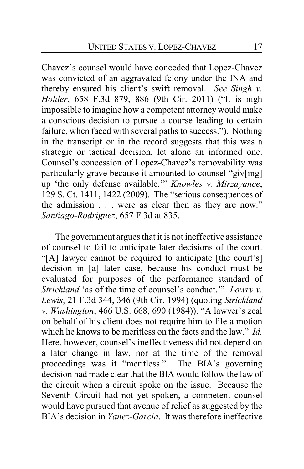Chavez's counsel would have conceded that Lopez-Chavez was convicted of an aggravated felony under the INA and thereby ensured his client's swift removal. *See Singh v. Holder*, 658 F.3d 879, 886 (9th Cir. 2011) ("It is nigh impossible to imagine how a competent attorneywould make a conscious decision to pursue a course leading to certain failure, when faced with several paths to success."). Nothing in the transcript or in the record suggests that this was a strategic or tactical decision, let alone an informed one. Counsel's concession of Lopez-Chavez's removability was particularly grave because it amounted to counsel "giv[ing] up 'the only defense available.'" *Knowles v. Mirzayance*, 129 S. Ct. 1411, 1422 (2009). The "serious consequences of the admission . . . were as clear then as they are now." *Santiago-Rodriguez*, 657 F.3d at 835.

The government argues that it is not ineffective assistance of counsel to fail to anticipate later decisions of the court. "[A] lawyer cannot be required to anticipate [the court's] decision in [a] later case, because his conduct must be evaluated for purposes of the performance standard of *Strickland* 'as of the time of counsel's conduct.'" *Lowry v. Lewis*, 21 F.3d 344, 346 (9th Cir. 1994) (quoting *Strickland v. Washington*, 466 U.S. 668, 690 (1984)). "A lawyer's zeal on behalf of his client does not require him to file a motion which he knows to be meritless on the facts and the law." *Id.* Here, however, counsel's ineffectiveness did not depend on a later change in law, nor at the time of the removal proceedings was it "meritless." The BIA's governing decision had made clear that the BIA would follow the law of the circuit when a circuit spoke on the issue. Because the Seventh Circuit had not yet spoken, a competent counsel would have pursued that avenue of relief as suggested by the BIA's decision in *Yanez-Garcia*. It was therefore ineffective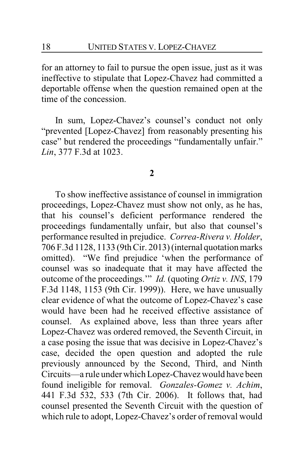for an attorney to fail to pursue the open issue, just as it was ineffective to stipulate that Lopez-Chavez had committed a deportable offense when the question remained open at the time of the concession.

In sum, Lopez-Chavez's counsel's conduct not only "prevented [Lopez-Chavez] from reasonably presenting his case" but rendered the proceedings "fundamentally unfair." *Lin*, 377 F.3d at 1023.

#### **2**

To show ineffective assistance of counsel in immigration proceedings, Lopez-Chavez must show not only, as he has, that his counsel's deficient performance rendered the proceedings fundamentally unfair, but also that counsel's performance resulted in prejudice. *Correa-Rivera v. Holder*, 706 F.3d 1128, 1133 (9th Cir. 2013) (internal quotation marks omitted). "We find prejudice 'when the performance of counsel was so inadequate that it may have affected the outcome of the proceedings.'" *Id.* (quoting *Ortiz v. INS*, 179 F.3d 1148, 1153 (9th Cir. 1999)). Here, we have unusually clear evidence of what the outcome of Lopez-Chavez's case would have been had he received effective assistance of counsel. As explained above, less than three years after Lopez-Chavez was ordered removed, the Seventh Circuit, in a case posing the issue that was decisive in Lopez-Chavez's case, decided the open question and adopted the rule previously announced by the Second, Third, and Ninth Circuits—a rule under which Lopez-Chavez would have been found ineligible for removal. *Gonzales-Gomez v. Achim*, 441 F.3d 532, 533 (7th Cir. 2006). It follows that, had counsel presented the Seventh Circuit with the question of which rule to adopt, Lopez-Chavez's order of removal would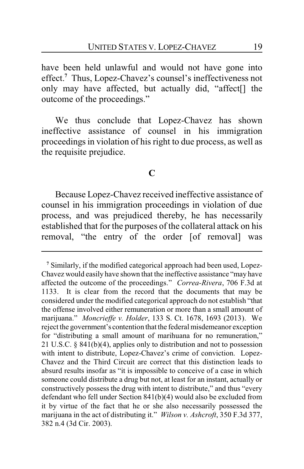have been held unlawful and would not have gone into effect.**<sup>7</sup>** Thus, Lopez-Chavez's counsel's ineffectiveness not only may have affected, but actually did, "affect[] the outcome of the proceedings."

We thus conclude that Lopez-Chavez has shown ineffective assistance of counsel in his immigration proceedings in violation of his right to due process, as well as the requisite prejudice.

## **C**

Because Lopez-Chavez received ineffective assistance of counsel in his immigration proceedings in violation of due process, and was prejudiced thereby, he has necessarily established that for the purposes of the collateral attack on his removal, "the entry of the order [of removal] was

**<sup>7</sup>** Similarly, if the modified categorical approach had been used, Lopez-Chavez would easily have shown that the ineffective assistance "may have affected the outcome of the proceedings." *Correa-Rivera*, 706 F.3d at 1133. It is clear from the record that the documents that may be considered under the modified categorical approach do not establish "that the offense involved either remuneration or more than a small amount of marijuana." *Moncrieffe v. Holder*, 133 S. Ct. 1678, 1693 (2013). We reject the government's contention that the federal misdemeanor exception for "distributing a small amount of marihuana for no remuneration," 21 U.S.C. § 841(b)(4), applies only to distribution and not to possession with intent to distribute, Lopez-Chavez's crime of conviction. Lopez-Chavez and the Third Circuit are correct that this distinction leads to absurd results insofar as "it is impossible to conceive of a case in which someone could distribute a drug but not, at least for an instant, actually or constructively possess the drug with intent to distribute," and thus "every defendant who fell under Section 841(b)(4) would also be excluded from it by virtue of the fact that he or she also necessarily possessed the marijuana in the act of distributing it." *Wilson v. Ashcroft*, 350 F.3d 377, 382 n.4 (3d Cir. 2003).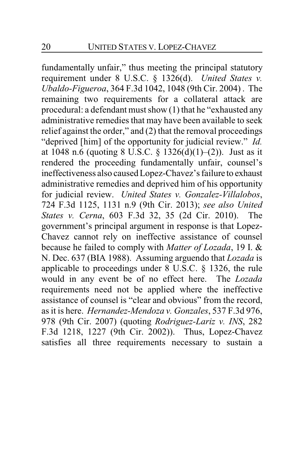fundamentally unfair," thus meeting the principal statutory requirement under 8 U.S.C. § 1326(d). *United States v. Ubaldo-Figueroa*, 364 F.3d 1042, 1048 (9th Cir. 2004) . The remaining two requirements for a collateral attack are procedural: a defendant must show (1) that he "exhausted any administrative remedies that may have been available to seek relief against the order," and (2) that the removal proceedings "deprived [him] of the opportunity for judicial review." *Id.* at 1048 n.6 (quoting 8 U.S.C. § 1326(d)(1)–(2)). Just as it rendered the proceeding fundamentally unfair, counsel's ineffectiveness also caused Lopez-Chavez's failure to exhaust administrative remedies and deprived him of his opportunity for judicial review. *United States v. Gonzalez-Villalobos*, 724 F.3d 1125, 1131 n.9 (9th Cir. 2013); *see also United States v. Cerna*, 603 F.3d 32, 35 (2d Cir. 2010). The government's principal argument in response is that Lopez-Chavez cannot rely on ineffective assistance of counsel because he failed to comply with *Matter of Lozada*, 19 I. & N. Dec. 637 (BIA 1988). Assuming arguendo that *Lozada* is applicable to proceedings under 8 U.S.C. § 1326, the rule would in any event be of no effect here. The *Lozada* requirements need not be applied where the ineffective assistance of counsel is "clear and obvious" from the record, as it is here. *Hernandez-Mendoza v. Gonzales*, 537 F.3d 976, 978 (9th Cir. 2007) (quoting *Rodriguez-Lariz v. INS*, 282 F.3d 1218, 1227 (9th Cir. 2002)). Thus, Lopez-Chavez satisfies all three requirements necessary to sustain a